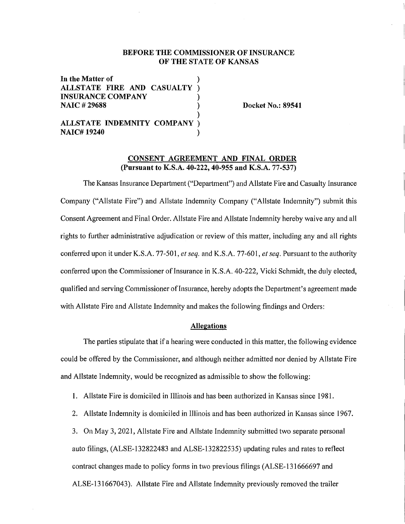# **BEFORE THE COMMISSIONER OF INSURANCE OF THE STATE OF KANSAS**

) ) ) ) )

**In the Matter of ALLSTATE FIRE AND CASUALTY INSURANCE COMPANY NAIC#29688** 

**ALLSTATE INDEMNITY COMPANY) NAIC# 19240** )

**Docket No.: 89541** 

## **CONSENT AGREEMENT AND FINAL ORDER (Pursuant to K.S.A. 40-222, 40-955 and K.S.A. 77-537)**

The Kansas Insurance Department ("Department") and Allstate Fire and Casualty Insurance Company ("Allstate Fire") and Allstate Indemnity Company ("Allstate Indemnity") submit this Consent Agreement and Final Order. Allstate Fire and Allstate Indemnity hereby waive any and all rights to further administrative adjudication or review of this matter, including any and all rights conferred upon it under K.S.A. 77-501, *et seq.* and K.S.A. 77-601, *et seq.* Pursuant to the authority conferred upon the Commissioner of Insurance in K.S.A. 40-222, Vicki Schmidt, the duly elected, qualified and serving Commissioner of Insurance, hereby adopts the Department's agreement made with Allstate Fire and Allstate Indemnity and makes the following findings and Orders:

# **Allegations**

The parties stipulate that if a hearing were conducted in this matter, the following evidence could be offered by the Commissioner, and although neither admitted nor denied by Allstate Fire and Allstate Indemnity, would be recognized as admissible to show the following:

**1.** Allstate Fire is domiciled in Illinois and has been authorized in Kansas since 1981.

2. Allstate Indemnity is domiciled in Illinois and has been authorized in Kansas since 1967.

3. On May 3, 2021, Allstate Fire and Allstate Indemnity submitted two separate personal auto filings, (ALSE-132822483 and ALSE-132822535) updating rules and rates to reflect contract changes made to policy forms in two previous filings (ALSE-131666697 and ALSE-131667043). Allstate Fire and Allstate Indemnity previously removed the trailer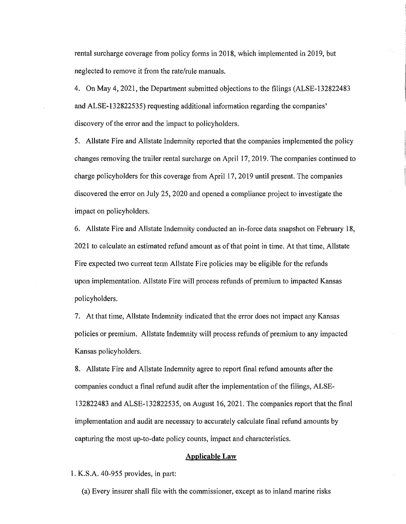rental surcharge coverage from policy forms in 2018, which implemented in 2019, but neglected to remove it from the rate/rule manuals.

4. On May 4, 2021, the Department submitted objections to the filings (ALSE-132822483 and ALSE-132822535) requesting additional information regarding the companies' discovery of the error and the impact to policyholders.

5. Allstate Fire and Allstate Indemnity reported that the companies implemented the policy changes removing the trailer rental surcharge on April 17, 2019. The companies continued to charge policyholders for this coverage from April 17, 2019 until present. The companies discovered the error on July 25, 2020 and opened a compliance project to investigate the impact on policyholders.

6. Allstate Fire and Allstate Indemnity conducted an in-force data snapshot on February 18, 2021 to calculate an estimated refund amount as of that point in time. At that time, Allstate Fire expected two current term Allstate Fire policies may be eligible for the refunds upon implementation. Allstate Fire will process refunds of premium to impacted Kansas policyholders.

7. At that time, Allstate Indemnity indicated that the error does not impact any Kansas policies or premium. Allstate Indemnity will process refunds of premium to any impacted Kansas policyholders.

8. Allstate Fire and Allstate Indemnity agree to report final refund amounts after the companies conduct a final refund audit after the implementation of the filings, ALSE- $132822483$  and  $A \text{LSE-132822535}$ , on August 16, 2021. The companies report that the final implementation and audit are necessary to accurately calculate final refund amounts by capturing the most up-to-date policy counts, impact and characteristics.

#### **Applicable Law**

1. K.S.A. 40-955 provides, in pait:

(a) Every insurer shall file with the commissioner, except as to inland marine risks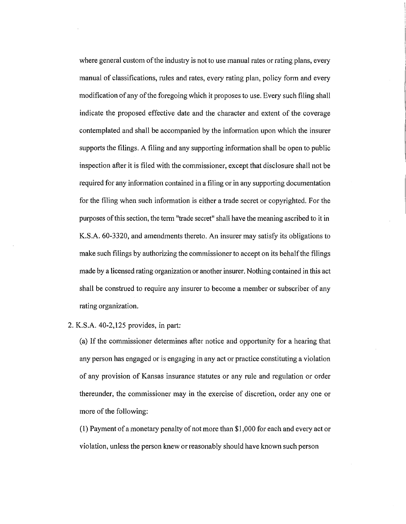where general custom of the industry is not to use manual rates or rating plans, every manual of classifications, rules and rates, every rating plan, policy form and every modification of any of the foregoing which it proposes to use. Every such filing shall indicate the proposed effective date and the character and extent of the coverage contemplated and shall be accompanied by the information upon which the insurer supports the filings. A filing and any supporting information shall be open to public inspection after it is filed with the commissioner, except that disclosure shall not be required for any information contained in a filing or in any supporting documentation for the filing when such information is either a trade secret or copyrighted. For the purposes of this section, the term "trade secret" shall have the meaning ascribed to it in K.S.A. 60-3320, and amendments thereto. An insurer may satisfy its obligations to make such filings by authorizing the commissioner to accept on its behalf the filings made by a licensed rating organization or another insurer. Nothing contained in this act shall be construed to require any insurer to become a member or subscriber of any rating organization.

## $2. K.S.A. 40-2,125$  provides, in part:

(a) If the commissioner determines after notice and opportunity for a hearing that any person has engaged or is engaging in any act or practice constituting a violation of any provision of Kansas insurance statutes or any rule and regulation or order thereunder, the commissioner may in the exercise of discretion, order any one or more of the following:

(1) Payment of a monetary penalty of not more than \$1,000 for each and every act or violation, unless the person knew or reasonably should have known such person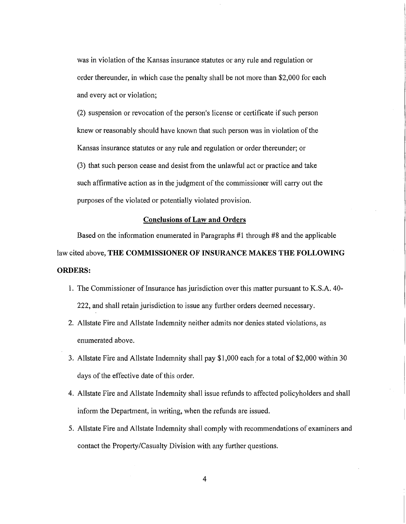was in violation of the Kansas insurance statutes or any rule and regulation or order thereunder, in which case the penalty shall be not more than \$2,000 for each and every act or violation;

(2) suspension or revocation of the person's license or certificate if such person knew or reasonably should have known that such person was in violation of the Kansas insurance statutes or any rule and regulation or order thereunder; or (3) that such person cease and desist from the unlawful act or practice and take such affirmative action as in the judgment of the commissioner will carry out the purposes of the violated or potentially violated provision.

## **Conclusions of Law and Orders**

Based on the information enumerated in Paragraphs #1 through #8 and the applicable law cited above, **THE COMMISSIONER OF INSURANCE MAKES THE FOLLOWING ORDERS:** 

- **1.** The Commissioner of Insurance has jurisdiction over this matter pursuant to K.S.A. 40- 222, and shall retain jurisdiction to issue any further orders deemed necessary.
- 2. Allstate Fire and Allstate Indemnity neither admits nor denies stated violations, as enumerated above.
- 3. Allstate Fire and Allstate Indemnity shall pay \$1,000 each for a total of \$2,000 within 30 days of the effective date of this order.
- 4. Allstate Fire and Allstate Indemnity shall issue refunds to affected policyholders and shall inform the Department, in writing, when the refunds are issued.
- 5. Allstate Fire and Allstate Indemnity shall comply with recommendations of examiners and contact the Property/Casualty Division with any further questions.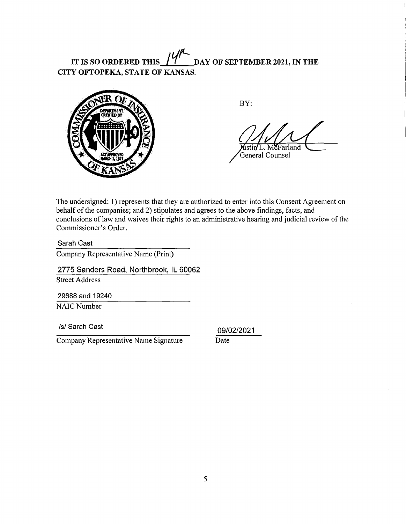IT IS SO ORDERED THIS  $14'$  DAY OF SEPTEMBER 2021, IN THE **CITY OFTOPEKA, STATE OF KANSAS.** 



BY:

ustin L. McFarland General Counsel

The undersigned: 1) represents that they are authorized to enter into this Consent Agreement on behalf of the companies; and 2) stipulates and agrees to the above findings, facts, and conclusions of law and waives their rights to an administrative hearing and judicial review of the Commissioner's Order.

Sarah Cast

Company Representative Name (Print)

2775 Sanders Road, Northbrook, IL 60062 Street Address

29688 and 19240 NAIC Number

/s/ Sarah Cast

Company Representative Name Signature

09/02/2021 Date